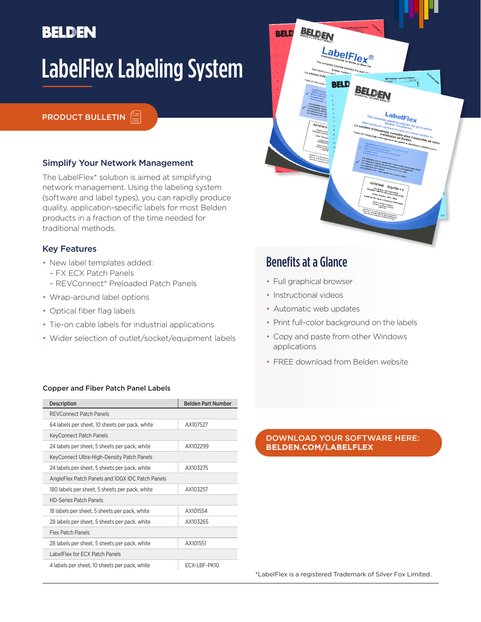## **BELDEN**

# LabelFlex Labeling System

#### **PRODUCT BULLETIN**  $\triangleq$

#### Simplify Your Network Management

The LabelFlex\* solution is aimed at simplifying network management. Using the labeling system (software and label types), you can rapidly produce quality, application-specific labels for most Belden products in a fraction of the time needed for traditional methods.

#### Key Features

- New label templates added:
	- FX ECX Patch Panels
- REVConnect® Preloaded Patch Panels
- Wrap-around label options
- Optical fiber flag labels
- Tie-on cable labels for industrial applications
- Wider selection of outlet/socket/equipment labels

#### Copper and Fiber Patch Panel Labels

| <b>Description</b>                               | <b>Belden Part Number</b> |  |  |  |
|--------------------------------------------------|---------------------------|--|--|--|
| <b>REVConnect Patch Panels</b>                   |                           |  |  |  |
| 64 labels per sheet, 10 sheets per pack, white   | AX107527                  |  |  |  |
| <b>KeyConnect Patch Panels</b>                   |                           |  |  |  |
| 24 labels per sheet, 5 sheets per pack, white    | AX102299                  |  |  |  |
| KeyConnect Ultra-High-Density Patch Panels       |                           |  |  |  |
| 24 labels per sheet, 5 sheets per pack, white    | AX103275                  |  |  |  |
| AngleFlex Patch Panels and 10GX IDC Patch Panels |                           |  |  |  |
| 180 labels per sheet, 5 sheets per pack, white   | AX103257                  |  |  |  |
| <b>HD-Series Patch Panels</b>                    |                           |  |  |  |
| 18 labels per sheet, 5 sheets per pack, white    | AX101554                  |  |  |  |
| 28 labels per sheet, 5 sheets per pack, white    | AX103265                  |  |  |  |
| Flex Patch Panels                                |                           |  |  |  |
| 28 labels per sheet, 5 sheets per pack, white    | AX101551                  |  |  |  |
| LabelElex for ECX Patch Panels                   |                           |  |  |  |
| 4 labels per sheet, 10 sheets per pack, white    | FCX-I BF-PK10             |  |  |  |

### Benefits at a Glance

• Full graphical browser

BELDEN

LabelFlex®

BELDEN

**LabelFlex** 

Q'ty/Qt

**RELD** 

**BELD** 

- Instructional videos
- Automatic web updates
- Print full-color background on the labels
- Copy and paste from other Windows applications
- FREE download from Belden website

#### DOWNLOAD YOUR SOFTWARE HERE: **BELDEN.COM/LABELFLEX**

\*LabelFlex is a registered Trademark of Silver Fox Limited.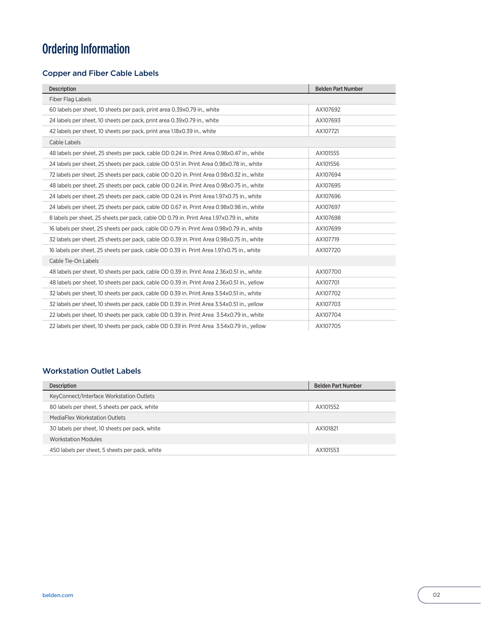## Ordering Information

#### Copper and Fiber Cable Labels

| <b>Description</b>                                                                          | <b>Belden Part Number</b> |  |  |  |
|---------------------------------------------------------------------------------------------|---------------------------|--|--|--|
| Fiber Flag Labels                                                                           |                           |  |  |  |
| 60 labels per sheet, 10 sheets per pack, print area 0.39x0.79 in., white                    | AX107692                  |  |  |  |
| 24 labels per sheet, 10 sheets per pack, print area 0.39x0.79 in., white                    | AX107693                  |  |  |  |
| 42 labels per sheet, 10 sheets per pack, print area 1.18x0.39 in., white                    | AX107721                  |  |  |  |
| Cable Labels                                                                                |                           |  |  |  |
| 48 labels per sheet, 25 sheets per pack, cable OD 0.24 in. Print Area 0.98x0.47 in., white  | AX101555                  |  |  |  |
| 24 labels per sheet, 25 sheets per pack, cable OD 0.51 in. Print Area 0.98x0.78 in., white  | AX101556                  |  |  |  |
| 72 labels per sheet, 25 sheets per pack, cable OD 0.20 in. Print Area 0.98x0.32 in., white  | AX107694                  |  |  |  |
| 48 labels per sheet, 25 sheets per pack, cable OD 0.24 in. Print Area 0.98x0.75 in., white  | AX107695                  |  |  |  |
| 24 labels per sheet, 25 sheets per pack, cable OD 0.24 in. Print Area 1.97x0.75 in., white  | AX107696                  |  |  |  |
| 24 labels per sheet, 25 sheets per pack, cable OD 0.67 in. Print Area 0.98x0.98 in., white  | AX107697                  |  |  |  |
| 8 labels per sheet, 25 sheets per pack, cable OD 0.79 in. Print Area 1.97x0.79 in., white   | AX107698                  |  |  |  |
| 16 labels per sheet, 25 sheets per pack, cable OD 0.79 in. Print Area 0.98x0.79 in., white  | AX107699                  |  |  |  |
| 32 labels per sheet, 25 sheets per pack, cable OD 0.39 in. Print Area 0.98x0.75 in., white  | AX107719                  |  |  |  |
| 16 labels per sheet, 25 sheets per pack, cable OD 0.39 in. Print Area 1.97x0.75 in., white  | AX107720                  |  |  |  |
| Cable Tie-On Labels                                                                         |                           |  |  |  |
| 48 labels per sheet, 10 sheets per pack, cable OD 0.39 in. Print Area 2.36x0.51 in., white  | AX107700                  |  |  |  |
| 48 labels per sheet, 10 sheets per pack, cable OD 0.39 in. Print Area 2.36x0.51 in., yellow | AX107701                  |  |  |  |
| 32 labels per sheet, 10 sheets per pack, cable OD 0.39 in. Print Area 3.54x0.51 in., white  | AX107702                  |  |  |  |
| 32 labels per sheet, 10 sheets per pack, cable OD 0.39 in. Print Area 3.54x0.51 in., yellow | AX107703                  |  |  |  |
| 22 labels per sheet, 10 sheets per pack, cable OD 0.39 in. Print Area 3.54x0.79 in., white  | AX107704                  |  |  |  |
| 22 labels per sheet, 10 sheets per pack, cable OD 0.39 in. Print Area 3.54x0.79 in., yellow | AX107705                  |  |  |  |

#### Workstation Outlet Labels

| Description                                    | <b>Belden Part Number</b> |
|------------------------------------------------|---------------------------|
| KeyConnect/Interface Workstation Outlets       |                           |
| 80 labels per sheet, 5 sheets per pack, white  | AX101552                  |
| MediaFlex Workstation Outlets                  |                           |
| 30 labels per sheet, 10 sheets per pack, white | AX101821                  |
| <b>Workstation Modules</b>                     |                           |
| 450 labels per sheet, 5 sheets per pack, white | AX101553                  |